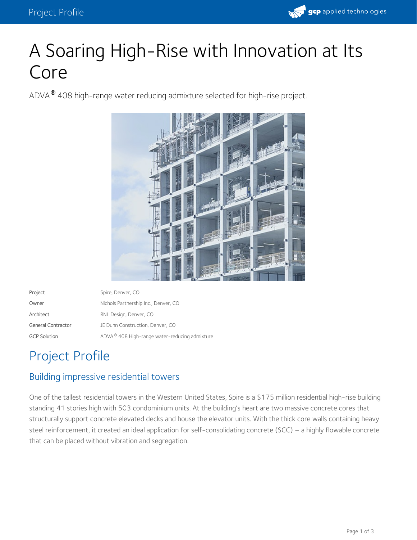

# A Soaring High-Rise with Innovation at Its Core

ADVA $^\circledR$  408 high-range water reducing admixture selected for high-rise project.



| Project             | Spire, Denver, CO                             |
|---------------------|-----------------------------------------------|
| Owner               | Nichols Partnership Inc., Denver, CO          |
| Architect           | RNL Design, Denver, CO                        |
| General Contractor  | JE Dunn Construction, Denver, CO              |
| <b>GCP Solution</b> | ADVA® 408 High-range water-reducing admixture |

## Project Profile

#### Building impressive residential towers

One of the tallest residential towers in the Western United States, Spire is a \$175 million residential high-rise building standing 41 stories high with 503 condominium units. At the building's heart are two massive concrete cores that structurally support concrete elevated decks and house the elevator units. With the thick core walls containing heavy steel reinforcement, it created an ideal application for self-consolidating concrete (SCC) – a highly flowable concrete that can be placed without vibration and segregation.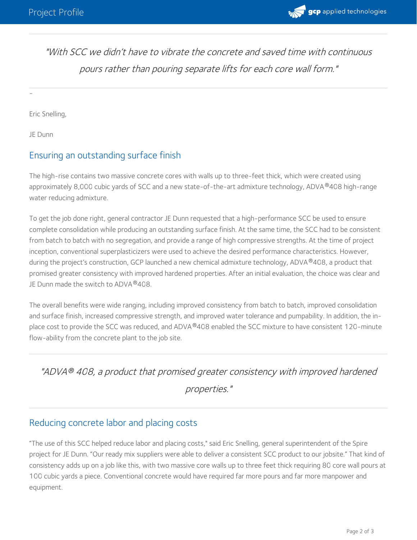

"With SCC we didn't have to vibrate the concrete and saved time with continuous pours rather than pouring separate lifts for each core wall form."

Eric Snelling,

JE Dunn

-

#### Ensuring an outstanding surface finish

The high-rise contains two massive concrete cores with walls up to three-feet thick, which were created using approximately 8,000 cubic yards of SCC and a new state-of-the-art admixture technology, ADVA®408 high-range water reducing admixture.

To get the job done right, general contractor JE Dunn requested that a high-performance SCC be used to ensure complete consolidation while producing an outstanding surface finish. At the same time, the SCC had to be consistent from batch to batch with no segregation, and provide a range of high compressive strengths. At the time of project inception, conventional superplasticizers were used to achieve the desired performance characteristics. However, during the project's construction, GCP launched a new chemical admixture technology, ADVA®408, a product that promised greater consistency with improved hardened properties. After an initial evaluation, the choice was clear and JE Dunn made the switch to ADVA®408.

The overall benefits were wide ranging, including improved consistency from batch to batch, improved consolidation and surface finish, increased compressive strength, and improved water tolerance and pumpability. In addition, the in place cost to provide the SCC was reduced, and ADVA®408 enabled the SCC mixture to have consistent 120-minute flow-ability from the concrete plant to the job site.

### "ADVA 408, <sup>a</sup> product that promised greater consistency with improved hardened *®* properties."

#### Reducing concrete labor and placing costs

"The use of this SCC helped reduce labor and placing costs," said Eric Snelling, general superintendent of the Spire project for JE Dunn. "Our ready mix suppliers were able to deliver a consistent SCC product to our jobsite." That kind of consistency adds up on a job like this, with two massive core walls up to three feet thick requiring 80 core wall pours at 100 cubic yards a piece. Conventional concrete would have required far more pours and far more manpower and equipment.